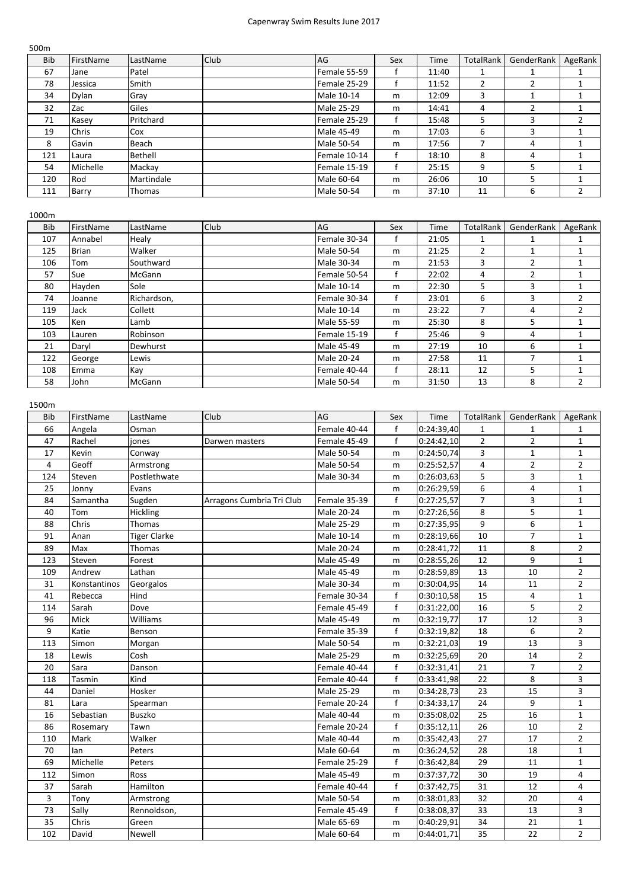## Capenwray Swim Results June 2017

| 500 <sub>m</sub> |              |               |      |                   |     |       |                  |                |         |
|------------------|--------------|---------------|------|-------------------|-----|-------|------------------|----------------|---------|
| <b>Bib</b>       | FirstName    | LastName      | Club | AG                | Sex | Time  | <b>TotalRank</b> | GenderRank     | AgeRank |
| 67               | Jane         | Patel         |      | Female 55-59      |     | 11:40 |                  |                |         |
| 78               | Jessica      | Smith         |      | Female 25-29      |     | 11:52 | $\overline{2}$   | $\overline{2}$ |         |
| 34               | Dylan        | Gray          |      | Male 10-14        | m   | 12:09 | 3                |                |         |
| 32               | Zac          | Giles         |      | Male 25-29        | m   | 14:41 | 4                | 2              |         |
| 71               | Kasey        | Pritchard     |      | Female 25-29      |     | 15:48 | 5                | 3              | 2       |
| 19               | <b>Chris</b> | Cox           |      | Male 45-49        | m   | 17:03 | 6                | 3              |         |
| 8                | Gavin        | Beach         |      | <b>Male 50-54</b> | m   | 17:56 | ⇁                | 4              |         |
| 121              | Laura        | Bethell       |      | Female 10-14      |     | 18:10 | 8                | 4              |         |
| 54               | Michelle     | Mackay        |      | Female 15-19      |     | 25:15 | 9                | 5              |         |
| 120              | Rod          | Martindale    |      | Male 60-64        | m   | 26:06 | 10               | 5              |         |
| 111              | Barry        | <b>Thomas</b> |      | <b>Male 50-54</b> | m   | 37:10 | 11               | 6              |         |

| <b>Bib</b> | FirstName    | LastName      | <b>Club</b> | AG                | Sex | Time  | <b>TotalRank</b> | GenderRank     | AgeRank        |
|------------|--------------|---------------|-------------|-------------------|-----|-------|------------------|----------------|----------------|
| 107        | Annabel      | Healy         |             | Female 30-34      |     | 21:05 | 1                |                | 1              |
| 125        | <b>Brian</b> | Walker        |             | <b>Male 50-54</b> | m   | 21:25 | 2                |                | 1              |
| 106        | Tom          | Southward     |             | <b>Male 30-34</b> | m   | 21:53 | 3                | $\overline{2}$ | $\mathbf{1}$   |
| 57         | Sue          | McGann        |             | Female 50-54      |     | 22:02 | 4                | 2              | 1              |
| 80         | Hayden       | Sole          |             | Male 10-14        | m   | 22:30 | 5                | 3              |                |
| 74         | Joanne       | Richardson,   |             | Female 30-34      |     | 23:01 | 6                | 3              | $\overline{2}$ |
| 119        | Jack         | Collett       |             | Male 10-14        | m   | 23:22 | 7                | 4              | $\overline{2}$ |
| 105        | Ken          | Lamb          |             | <b>Male 55-59</b> | m   | 25:30 | 8                | 5              |                |
| 103        | Lauren       | Robinson      |             | Female 15-19      | f   | 25:46 | 9                | 4              | 1              |
| 21         | Daryl        | Dewhurst      |             | Male 45-49        | m   | 27:19 | 10               | 6              |                |
| 122        | George       | Lewis         |             | Male 20-24        | m   | 27:58 | 11               | $\overline{ }$ | $\mathbf{1}$   |
| 108        | Emma         | Kay           |             | Female 40-44      |     | 28:11 | 12               | 5              | 1              |
| 58         | John         | <b>McGann</b> |             | <b>Male 50-54</b> | m   | 31:50 | 13               | 8              | 2              |

1500m

| <b>Bib</b> | FirstName    | LastName            | Club                      | AG           | Sex         | Time       | TotalRank      | GenderRank     | AgeRank                 |
|------------|--------------|---------------------|---------------------------|--------------|-------------|------------|----------------|----------------|-------------------------|
| 66         | Angela       | Osman               |                           | Female 40-44 | f           | 0:24:39,40 | $\mathbf{1}$   | $\mathbf{1}$   | 1                       |
| 47         | Rachel       | jones               | Darwen masters            | Female 45-49 | $\sf f$     | 0:24:42,10 | $\overline{2}$ | $\overline{2}$ | $\mathbf{1}$            |
| 17         | Kevin        | Conway              |                           | Male 50-54   | m           | 0:24:50,74 | 3              | $\mathbf{1}$   | $\mathbf{1}$            |
| 4          | Geoff        | Armstrong           |                           | Male 50-54   | ${\sf m}$   | 0:25:52,57 | 4              | $\overline{2}$ | $\overline{2}$          |
| 124        | Steven       | Postlethwate        |                           | Male 30-34   | m           | 0:26:03,63 | 5              | 3              | $\mathbf{1}$            |
| 25         | Jonny        | Evans               |                           |              | m           | 0:26:29,59 | 6              | 4              | $\mathbf{1}$            |
| 84         | Samantha     | Sugden              | Arragons Cumbria Tri Club | Female 35-39 | $\mathsf f$ | 0:27:25,57 | $\overline{7}$ | 3              | $\mathbf 1$             |
| 40         | Tom          | Hickling            |                           | Male 20-24   | m           | 0:27:26,56 | 8              | 5              | $\mathbf{1}$            |
| 88         | Chris        | <b>Thomas</b>       |                           | Male 25-29   | m           | 0:27:35,95 | 9              | 6              | $\mathbf{1}$            |
| 91         | Anan         | <b>Tiger Clarke</b> |                           | Male 10-14   | m           | 0:28:19,66 | 10             | $\overline{7}$ | $\mathbf{1}$            |
| 89         | Max          | Thomas              |                           | Male 20-24   | m           | 0:28:41,72 | 11             | 8              | $\overline{2}$          |
| 123        | Steven       | Forest              |                           | Male 45-49   | m           | 0:28:55,26 | 12             | 9              | $\mathbf 1$             |
| 109        | Andrew       | Lathan              |                           | Male 45-49   | m           | 0:28:59,89 | 13             | 10             | $\overline{2}$          |
| 31         | Konstantinos | Georgalos           |                           | Male 30-34   | m           | 0:30:04,95 | 14             | 11             | $\overline{2}$          |
| 41         | Rebecca      | Hind                |                           | Female 30-34 | f           | 0:30:10,58 | 15             | 4              | $\mathbf{1}$            |
| 114        | Sarah        | Dove                |                           | Female 45-49 | f           | 0:31:22,00 | 16             | 5              | $\overline{2}$          |
| 96         | Mick         | Williams            |                           | Male 45-49   | ${\sf m}$   | 0:32:19,77 | 17             | 12             | 3                       |
| 9          | Katie        | Benson              |                           | Female 35-39 | f           | 0:32:19,82 | 18             | 6              | $\overline{2}$          |
| 113        | Simon        | Morgan              |                           | Male 50-54   | m           | 0:32:21,03 | 19             | 13             | $\overline{\mathbf{3}}$ |
| 18         | Lewis        | Cosh                |                           | Male 25-29   | ${\sf m}$   | 0:32:25,69 | 20             | 14             | $\overline{2}$          |
| 20         | Sara         | Danson              |                           | Female 40-44 | $\sf f$     | 0:32:31,41 | 21             | $\overline{7}$ | $\overline{2}$          |
| 118        | Tasmin       | Kind                |                           | Female 40-44 | f           | 0:33:41,98 | 22             | 8              | 3                       |
| 44         | Daniel       | Hosker              |                           | Male 25-29   | ${\sf m}$   | 0:34:28,73 | 23             | 15             | 3                       |
| 81         | Lara         | Spearman            |                           | Female 20-24 | f           | 0:34:33,17 | 24             | 9              | $\mathbf{1}$            |
| 16         | Sebastian    | <b>Buszko</b>       |                           | Male 40-44   | m           | 0:35:08,02 | 25             | 16             | $1\,$                   |
| 86         | Rosemary     | Tawn                |                           | Female 20-24 | f           | 0:35:12,11 | 26             | 10             | $\overline{2}$          |
| 110        | Mark         | Walker              |                           | Male 40-44   | m           | 0:35:42,43 | 27             | 17             | $\overline{2}$          |
| 70         | lan          | Peters              |                           | Male 60-64   | m           | 0:36:24,52 | 28             | 18             | $\mathbf 1$             |
| 69         | Michelle     | Peters              |                           | Female 25-29 | f           | 0:36:42,84 | 29             | 11             | $\mathbf 1$             |
| 112        | Simon        | Ross                |                           | Male 45-49   | m           | 0:37:37,72 | 30             | 19             | 4                       |
| 37         | Sarah        | Hamilton            |                           | Female 40-44 | $\mathsf f$ | 0:37:42,75 | 31             | 12             | 4                       |
| 3          | Tony         | Armstrong           |                           | Male 50-54   | m           | 0:38:01,83 | 32             | 20             | 4                       |
| 73         | Sally        | Rennoldson,         |                           | Female 45-49 | $\sf f$     | 0:38:08,37 | 33             | 13             | 3                       |
| 35         | Chris        | Green               |                           | Male 65-69   | m           | 0:40:29,91 | 34             | 21             | $\mathbf{1}$            |
| 102        | David        | Newell              |                           | Male 60-64   | m           | 0:44:01,71 | 35             | 22             | $\overline{2}$          |
|            |              |                     |                           |              |             |            |                |                |                         |